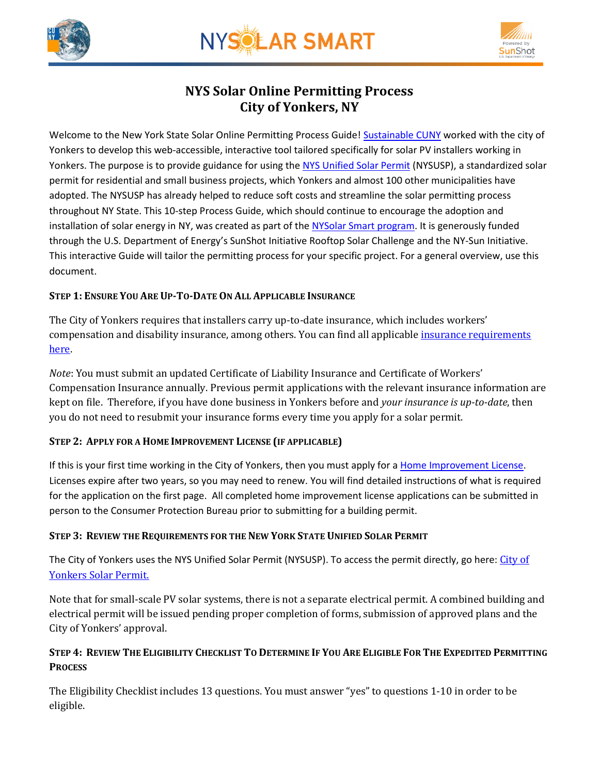



# **NYS Solar Online Permitting Process City of Yonkers, NY**

Welcome to the New York State Solar Online Permitting Process Guide! [Sustainable CUNY](http://www.cuny.edu/about/resources/sustainability.html) worked with the city of Yonkers to develop this web-accessible, interactive tool tailored specifically for solar PV installers working in Yonkers. The purpose is to provide guidance for using the [NYS Unified Solar Permit](http://www.cityofyonkers.com/home/showdocument?id=10661) (NYSUSP), a standardized solar permit for residential and small business projects, which Yonkers and almost 100 other municipalities have adopted. The NYSUSP has already helped to reduce soft costs and streamline the solar permitting process throughout NY State. This 10-step Process Guide, which should continue to encourage the adoption and installation of solar energy in NY, was created as part of the [NYSolar Smart program.](http://www.cuny.edu/about/resources/sustainability/nyssolar.html) It is generously funded through the U.S. Department of Energy's SunShot Initiative Rooftop Solar Challenge and the NY-Sun Initiative. This interactive Guide will tailor the permitting process for your specific project. For a general overview, use this document.

# **STEP 1: ENSURE YOU ARE UP-TO-DATE ON ALL APPLICABLE INSURANCE**

The City of Yonkers requires that installers carry up-to-date insurance, which includes workers' compensation and disability insurance, among others. You can find all applicabl[e insurance requirements](http://www.cityofyonkers.com/home/showdocument?id=1418) here.

*Note*: You must submit an updated Certificate of Liability Insurance and Certificate of Workers' Compensation Insurance annually. Previous permit applications with the relevant insurance information are kept on file. Therefore, if you have done business in Yonkers before and *your insurance is up-to-date*, then you do not need to resubmit your insurance forms every time you apply for a solar permit.

# **STEP 2: APPLY FOR A HOME IMPROVEMENT LICENSE (IF APPLICABLE)**

If this is your first time working in the City of Yonkers, then you must apply for a [Home Improvement License.](http://www.cityofyonkers.com/home/showdocument?id=10867) Licenses expire after two years, so you may need to renew. You will find detailed instructions of what is required for the application on the first page. All completed home improvement license applications can be submitted in person to the Consumer Protection Bureau prior to submitting for a building permit.

# **STEP 3: REVIEW THE REQUIREMENTS FOR THE NEW YORK STATE UNIFIED SOLAR PERMIT**

The [City of](http://www.cityofyonkers.com/home/showdocument?id=10661) Yonkers uses the NYS Unified Solar Permit (NYSUSP). To access the permit directly, go here: City of [Yonkers Solar Permit.](http://www.cityofyonkers.com/home/showdocument?id=10661)

Note that for small-scale PV solar systems, there is not a separate electrical permit. A combined building and electrical permit will be issued pending proper completion of forms, submission of approved plans and the City of Yonkers' approval.

# STEP 4: REVIEW THE ELIGIBILITY CHECKLIST TO DETERMINE IF YOU ARE ELIGIBLE FOR THE EXPEDITED PERMITTING **PROCESS**

The Eligibility Checklist includes 13 questions. You must answer "yes" to questions 1-10 in order to be eligible.